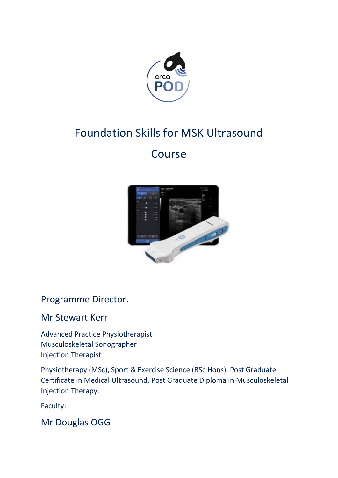

# Foundation Skills for MSK Ultrasound

# **Course**



Programme Director.

## Mr Stewart Kerr

Advanced Practice Physiotherapist Musculoskeletal Sonographer Injection Therapist

Physiotherapy (MSc), Sport & Exercise Science (BSc Hons), Post Graduate Certificate in Medical Ultrasound, Post Graduate Diploma in Musculoskeletal Injection Therapy.

Faculty:

Mr Douglas OGG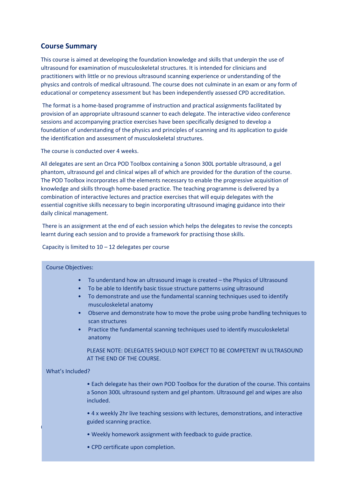### **Course Summary**

This course is aimed at developing the foundation knowledge and skills that underpin the use of ultrasound for examination of musculoskeletal structures. It is intended for clinicians and practitioners with little or no previous ultrasound scanning experience or understanding of the physics and controls of medical ultrasound. The course does not culminate in an exam or any form of educational or competency assessment but has been independently assessed CPD accreditation.

The format is a home-based programme of instruction and practical assignments facilitated by provision of an appropriate ultrasound scanner to each delegate. The interactive video conference sessions and accompanying practice exercises have been specifically designed to develop a foundation of understanding of the physics and principles of scanning and its application to guide the identification and assessment of musculoskeletal structures.

The course is conducted over 4 weeks.

All delegates are sent an Orca POD Toolbox containing a Sonon 300L portable ultrasound, a gel phantom, ultrasound gel and clinical wipes all of which are provided for the duration of the course. The POD Toolbox incorporates all the elements necessary to enable the progressive acquisition of knowledge and skills through home-based practice. The teaching programme is delivered by a combination of interactive lectures and practice exercises that will equip delegates with the essential cognitive skills necessary to begin incorporating ultrasound imaging guidance into their daily clinical management.

There is an assignment at the end of each session which helps the delegates to revise the concepts learnt during each session and to provide a framework for practising those skills.

### Capacity is limited to  $10 - 12$  delegates per course

### Course Objectives:

- To understand how an ultrasound image is created the Physics of Ultrasound
- To be able to Identify basic tissue structure patterns using ultrasound
- To demonstrate and use the fundamental scanning techniques used to identify musculoskeletal anatomy
- Observe and demonstrate how to move the probe using probe handling techniques to scan structures
- Practice the fundamental scanning techniques used to identify musculoskeletal anatomy

PLEASE NOTE: DELEGATES SHOULD NOT EXPECT TO BE COMPETENT IN ULTRASOUND AT THE END OF THE COURSE.

### What's Included?

• Each delegate has their own POD Toolbox for the duration of the course. This contains a Sonon 300L ultrasound system and gel phantom. Ultrasound gel and wipes are also included.

Course Program: • 4 x weekly 2hr live teaching sessions with lectures, demonstrations, and interactive guided scanning practice.

- Weekly homework assignment with feedback to guide practice.
- CPD certificate upon completion.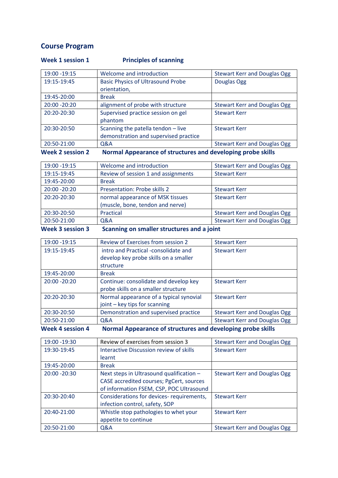### **Course Program**

### **Week 1 session 1** Principles of scanning

| <b>Week 2 session 2</b> | Normal Appearance of structures and developing probe skills |                                     |
|-------------------------|-------------------------------------------------------------|-------------------------------------|
| 20:50-21:00             | Q&A                                                         | <b>Stewart Kerr and Douglas Ogg</b> |
|                         | demonstration and supervised practice                       |                                     |
| 20:30-20:50             | Scanning the patella tendon - live                          | <b>Stewart Kerr</b>                 |
|                         | phantom                                                     |                                     |
| 20:20-20:30             | Supervised practice session on gel                          | <b>Stewart Kerr</b>                 |
| 20:00 - 20:20           | alignment of probe with structure                           | <b>Stewart Kerr and Douglas Ogg</b> |
| 19:45-20:00             | <b>Break</b>                                                |                                     |
|                         | orientation,                                                |                                     |
| 19:15-19:45             | <b>Basic Physics of Ultrasound Probe</b>                    | Douglas Ogg                         |
| 19:00 - 19:15           | Welcome and introduction                                    | <b>Stewart Kerr and Douglas Ogg</b> |

| 20:50-21:00   | Q&A                                 | <b>Stewart Kerr and Douglas Ogg</b> |
|---------------|-------------------------------------|-------------------------------------|
| 20:30-20:50   | Practical                           | <b>Stewart Kerr and Douglas Ogg</b> |
|               | (muscle, bone, tendon and nerve)    |                                     |
| 20:20-20:30   | normal appearance of MSK tissues    | <b>Stewart Kerr</b>                 |
| 20:00 - 20:20 | Presentation: Probe skills 2        | <b>Stewart Kerr</b>                 |
| 19:45-20:00   | <b>Break</b>                        |                                     |
| 19:15-19:45   | Review of session 1 and assignments | <b>Stewart Kerr</b>                 |
| 19:00 - 19:15 | Welcome and introduction            | <b>Stewart Kerr and Douglas Ogg</b> |

**Week 3 session 3 Scanning on smaller structures and a joint**

| 19:00 - 19:15 | Review of Exercises from session 2      | <b>Stewart Kerr</b>                 |
|---------------|-----------------------------------------|-------------------------------------|
| 19:15-19:45   | intro and Practical -consolidate and    | <b>Stewart Kerr</b>                 |
|               | develop key probe skills on a smaller   |                                     |
|               | structure                               |                                     |
| 19:45-20:00   | <b>Break</b>                            |                                     |
| 20:00 - 20:20 | Continue: consolidate and develop key   | <b>Stewart Kerr</b>                 |
|               | probe skills on a smaller structure     |                                     |
| 20:20-20:30   | Normal appearance of a typical synovial | <b>Stewart Kerr</b>                 |
|               | joint – key tips for scanning           |                                     |
| 20:30-20:50   | Demonstration and supervised practice   | <b>Stewart Kerr and Douglas Ogg</b> |
| 20:50-21:00   | Q&A                                     | <b>Stewart Kerr and Douglas Ogg</b> |
|               |                                         |                                     |

**Week 4 session 4 Normal Appearance of structures and developing probe skills** 

| 19:00 - 19:30   | Review of exercises from session 3       | <b>Stewart Kerr and Douglas Ogg</b> |
|-----------------|------------------------------------------|-------------------------------------|
| 19:30-19:45     | Interactive Discussion review of skills  | <b>Stewart Kerr</b>                 |
|                 | learnt                                   |                                     |
| 19:45-20:00     | <b>Break</b>                             |                                     |
| $20:00 - 20:30$ | Next steps in Ultrasound qualification - | Stewart Kerr and Douglas Ogg        |
|                 | CASE accredited courses; PgCert, sources |                                     |
|                 | of information FSEM, CSP, POC Ultrasound |                                     |
| 20:30-20:40     | Considerations for devices-requirements, | <b>Stewart Kerr</b>                 |
|                 | infection control, safety, SOP           |                                     |
| 20:40-21:00     | Whistle stop pathologies to whet your    | <b>Stewart Kerr</b>                 |
|                 | appetite to continue                     |                                     |
| 20:50-21:00     | <b>Q&amp;A</b>                           | Stewart Kerr and Douglas Ogg        |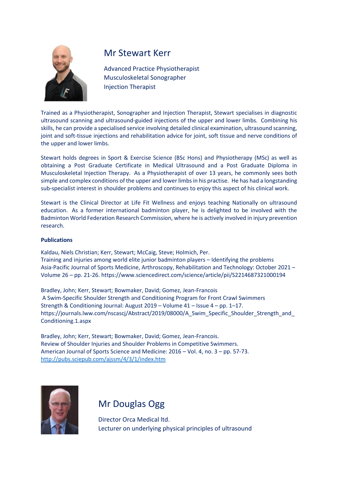

### Mr Stewart Kerr

Advanced Practice Physiotherapist Musculoskeletal Sonographer Injection Therapist

Trained as a Physiotherapist, Sonographer and Injection Therapist, Stewart specialises in diagnostic ultrasound scanning and ultrasound-guided injections of the upper and lower limbs. Combining his skills, he can provide a specialised service involving detailed clinical examination, ultrasound scanning, joint and soft-tissue injections and rehabilitation advice for joint, soft tissue and nerve conditions of the upper and lower limbs.

Stewart holds degrees in Sport & Exercise Science (BSc Hons) and Physiotherapy (MSc) as well as obtaining a Post Graduate Certificate in Medical Ultrasound and a Post Graduate Diploma in Musculoskeletal Injection Therapy. As a Physiotherapist of over 13 years, he commonly sees both simple and complex conditions of the upper and lower limbs in his practise. He has had a longstanding sub-specialist interest in shoulder problems and continues to enjoy this aspect of his clinical work.

Stewart is the Clinical Director at Life Fit Wellness and enjoys teaching Nationally on ultrasound education. As a former international badminton player, he is delighted to be involved with the Badminton World Federation Research Commission, where he is actively involved in injury prevention research.

### **Publications**

Kaldau, Niels Christian; Kerr, Stewart; McCaig, Steve; Holmich, Per. Training and injuries among world elite junior badminton players – Identifying the problems Asia-Pacific Journal of Sports Medicine, Arthroscopy, Rehabilitation and Technology: October 2021 – Volume 26 – pp. 21-26. https://www.sciencedirect.com/science/article/pii/S2214687321000194

Bradley, John; Kerr, Stewart; Bowmaker, David; Gomez, Jean-Francois A Swim-Specific Shoulder Strength and Conditioning Program for Front Crawl Swimmers Strength & Conditioning Journal: August 2019 – Volume 41 – Issue 4 – pp. 1–17. https://journals.lww.com/nscascj/Abstract/2019/08000/A Swim\_Specific\_Shoulder\_Strength\_and Conditioning.1.aspx

Bradley, John; Kerr, Stewart; Bowmaker, David; Gomez, Jean-Francois. Review of Shoulder Injuries and Shoulder Problems in Competitive Swimmers. American Journal of Sports Science and Medicine: 2016 – Vol. 4, no. 3 – pp. 57-73. <http://pubs.sciepub.com/ajssm/4/3/1/index.htm>



## Mr Douglas Ogg

Director Orca Medical ltd. Lecturer on underlying physical principles of ultrasound